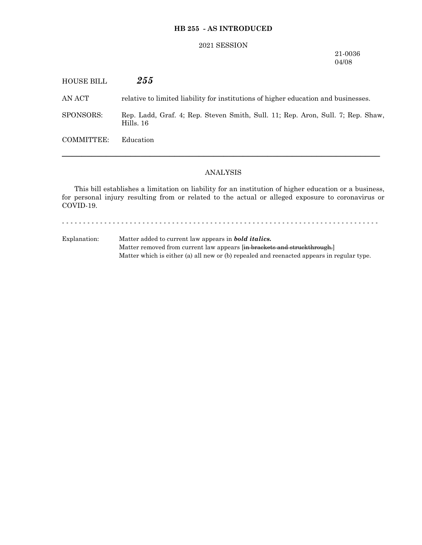#### **HB 255 - AS INTRODUCED**

#### 2021 SESSION

## 21-0036 04/08

HOUSE BILL *255* AN ACT relative to limited liability for institutions of higher education and businesses. SPONSORS: Rep. Ladd, Graf. 4; Rep. Steven Smith, Sull. 11; Rep. Aron, Sull. 7; Rep. Shaw, Hills. 16 COMMITTEE: Education ─────────────────────────────────────────────────────────────────

# ANALYSIS

This bill establishes a limitation on liability for an institution of higher education or a business, for personal injury resulting from or related to the actual or alleged exposure to coronavirus or COVID-19.

- - - - - - - - - - - - - - - - - - - - - - - - - - - - - - - - - - - - - - - - - - - - - - - - - - - - - - - - - - - - - - - - - - - - - - - - - - -

Explanation: Matter added to current law appears in *bold italics.* Matter removed from current law appears [in brackets and struckthrough.] Matter which is either (a) all new or (b) repealed and reenacted appears in regular type.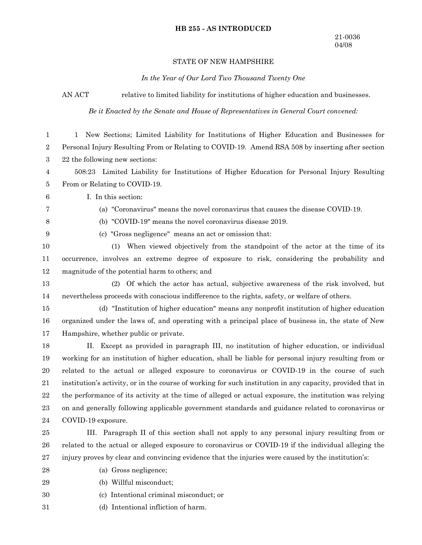# **HB 255 - AS INTRODUCED**

# STATE OF NEW HAMPSHIRE

*In the Year of Our Lord Two Thousand Twenty One*

AN ACT relative to limited liability for institutions of higher education and businesses.

*Be it Enacted by the Senate and House of Representatives in General Court convened:*

| $\mathbf{1}$     | New Sections; Limited Liability for Institutions of Higher Education and Businesses for<br>1               |
|------------------|------------------------------------------------------------------------------------------------------------|
| 2                | Personal Injury Resulting From or Relating to COVID-19. Amend RSA 508 by inserting after section           |
| 3                | 22 the following new sections:                                                                             |
| 4                | 508:23 Limited Liability for Institutions of Higher Education for Personal Injury Resulting                |
| 5                | From or Relating to COVID-19.                                                                              |
| $\,6$            | I. In this section:                                                                                        |
| 7                | (a) "Coronavirus" means the novel coronavirus that causes the disease COVID-19.                            |
| 8                | (b) "COVID-19" means the novel coronavirus disease 2019.                                                   |
| $\boldsymbol{9}$ | (c) "Gross negligence" means an act or omission that:                                                      |
| 10               | When viewed objectively from the standpoint of the actor at the time of its<br>(1)                         |
| 11               | occurrence, involves an extreme degree of exposure to risk, considering the probability and                |
| 12               | magnitude of the potential harm to others; and                                                             |
| 13               | Of which the actor has actual, subjective awareness of the risk involved, but<br>(2)                       |
| 14               | nevertheless proceeds with conscious indifference to the rights, safety, or welfare of others.             |
| 15               | (d) "Institution of higher education" means any nonprofit institution of higher education                  |
| 16               | organized under the laws of, and operating with a principal place of business in, the state of New         |
| 17               | Hampshire, whether public or private.                                                                      |
| 18               | Except as provided in paragraph III, no institution of higher education, or individual<br>П.               |
| 19               | working for an institution of higher education, shall be liable for personal injury resulting from or      |
| 20               | related to the actual or alleged exposure to coronavirus or COVID-19 in the course of such                 |
| 21               | institution's activity, or in the course of working for such institution in any capacity, provided that in |
| $22\,$           | the performance of its activity at the time of alleged or actual exposure, the institution was relying     |
| $\bf 23$         | on and generally following applicable government standards and guidance related to coronavirus or          |
| 24               | COVID-19 exposure.                                                                                         |
| $25\,$           | III. Paragraph II of this section shall not apply to any personal injury resulting from or                 |
| 26               | related to the actual or alleged exposure to coronavirus or COVID-19 if the individual alleging the        |
| $27\,$           | injury proves by clear and convincing evidence that the injuries were caused by the institution's:         |
| $\bf{28}$        | (a) Gross negligence;                                                                                      |
| 29               | (b) Willful misconduct;                                                                                    |

- (c) Intentional criminal misconduct; or 30
- (d) Intentional infliction of harm. 31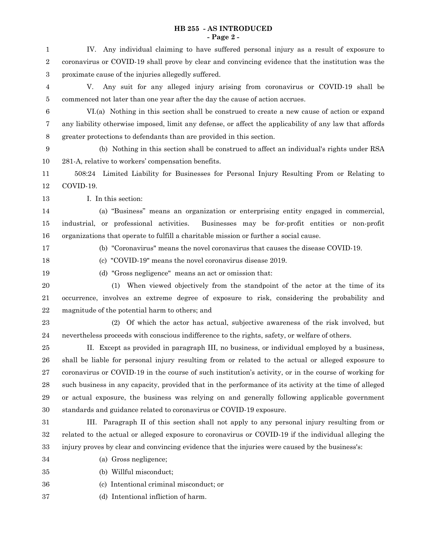## **HB 255 - AS INTRODUCED - Page 2 -**

| $\mathbf{1}$   | IV. Any individual claiming to have suffered personal injury as a result of exposure to                 |
|----------------|---------------------------------------------------------------------------------------------------------|
| 2              | coronavirus or COVID-19 shall prove by clear and convincing evidence that the institution was the       |
| 3              | proximate cause of the injuries allegedly suffered.                                                     |
| 4              | Any suit for any alleged injury arising from coronavirus or COVID-19 shall be<br>V.                     |
| 5              | commenced not later than one year after the day the cause of action accrues.                            |
| 6              | VI.(a) Nothing in this section shall be construed to create a new cause of action or expand             |
| 7              | any liability otherwise imposed, limit any defense, or affect the applicability of any law that affords |
| $8\phantom{1}$ | greater protections to defendants than are provided in this section.                                    |
| 9              | (b) Nothing in this section shall be construed to affect an individual's rights under RSA               |
| 10             | 281-A, relative to workers' compensation benefits.                                                      |
| 11             | 508:24 Limited Liability for Businesses for Personal Injury Resulting From or Relating to               |
| 12             | COVID-19.                                                                                               |
| 13             | I. In this section:                                                                                     |
| 14             | (a) "Business" means an organization or enterprising entity engaged in commercial,                      |
| 15             | industrial, or professional activities.<br>Businesses may be for-profit entities or non-profit          |
| 16             | organizations that operate to fulfill a charitable mission or further a social cause.                   |
| 17             | (b) "Coronavirus" means the novel coronavirus that causes the disease COVID-19.                         |
| 18             | (c) "COVID-19" means the novel coronavirus disease 2019.                                                |
| 19             | (d) "Gross negligence" means an act or omission that:                                                   |
| $20\,$         | When viewed objectively from the standpoint of the actor at the time of its<br>(1)                      |
| 21             | occurrence, involves an extreme degree of exposure to risk, considering the probability and             |
| 22             | magnitude of the potential harm to others; and                                                          |
| 23             | (2) Of which the actor has actual, subjective awareness of the risk involved, but                       |
| 24             | nevertheless proceeds with conscious indifference to the rights, safety, or welfare of others.          |
| 25             | II. Except as provided in paragraph III, no business, or individual employed by a business,             |
| 26             | shall be liable for personal injury resulting from or related to the actual or alleged exposure to      |
| 27             | coronavirus or COVID-19 in the course of such institution's activity, or in the course of working for   |
| 28             | such business in any capacity, provided that in the performance of its activity at the time of alleged  |
| 29             | or actual exposure, the business was relying on and generally following applicable government           |
| 30             | standards and guidance related to coronavirus or COVID-19 exposure.                                     |
| 31             | III. Paragraph II of this section shall not apply to any personal injury resulting from or              |
| 32             | related to the actual or alleged exposure to coronavirus or COVID-19 if the individual alleging the     |
| 33             | injury proves by clear and convincing evidence that the injuries were caused by the business's:         |
| 34             | (a) Gross negligence;                                                                                   |
| 35             | (b) Willful misconduct;                                                                                 |
| 36             | (c) Intentional criminal misconduct; or                                                                 |

(d) Intentional infliction of harm. 37